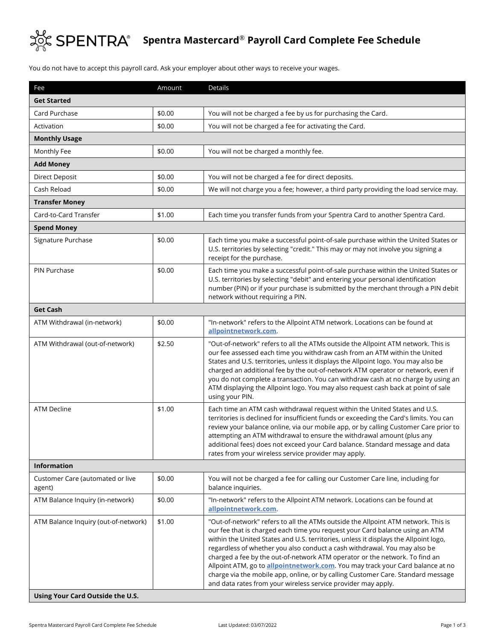

## **Spentra Mastercard**® **Payroll Card Complete Fee Schedule**

You do not have to accept this payroll card. Ask your employer about other ways to receive your wages.

| Fee                                                                      | Amount | <b>Details</b>                                                                                                                                                                                                                                                                                                                                                                                                                                                                                                                                                                                                                                                       |  |  |
|--------------------------------------------------------------------------|--------|----------------------------------------------------------------------------------------------------------------------------------------------------------------------------------------------------------------------------------------------------------------------------------------------------------------------------------------------------------------------------------------------------------------------------------------------------------------------------------------------------------------------------------------------------------------------------------------------------------------------------------------------------------------------|--|--|
| <b>Get Started</b>                                                       |        |                                                                                                                                                                                                                                                                                                                                                                                                                                                                                                                                                                                                                                                                      |  |  |
| Card Purchase                                                            | \$0.00 | You will not be charged a fee by us for purchasing the Card.                                                                                                                                                                                                                                                                                                                                                                                                                                                                                                                                                                                                         |  |  |
| Activation                                                               | \$0.00 | You will not be charged a fee for activating the Card.                                                                                                                                                                                                                                                                                                                                                                                                                                                                                                                                                                                                               |  |  |
| <b>Monthly Usage</b>                                                     |        |                                                                                                                                                                                                                                                                                                                                                                                                                                                                                                                                                                                                                                                                      |  |  |
| Monthly Fee                                                              | \$0.00 | You will not be charged a monthly fee.                                                                                                                                                                                                                                                                                                                                                                                                                                                                                                                                                                                                                               |  |  |
| <b>Add Money</b>                                                         |        |                                                                                                                                                                                                                                                                                                                                                                                                                                                                                                                                                                                                                                                                      |  |  |
| Direct Deposit                                                           | \$0.00 | You will not be charged a fee for direct deposits.                                                                                                                                                                                                                                                                                                                                                                                                                                                                                                                                                                                                                   |  |  |
| Cash Reload                                                              | \$0.00 | We will not charge you a fee; however, a third party providing the load service may.                                                                                                                                                                                                                                                                                                                                                                                                                                                                                                                                                                                 |  |  |
| <b>Transfer Money</b>                                                    |        |                                                                                                                                                                                                                                                                                                                                                                                                                                                                                                                                                                                                                                                                      |  |  |
| Card-to-Card Transfer                                                    | \$1.00 | Each time you transfer funds from your Spentra Card to another Spentra Card.                                                                                                                                                                                                                                                                                                                                                                                                                                                                                                                                                                                         |  |  |
| <b>Spend Money</b>                                                       |        |                                                                                                                                                                                                                                                                                                                                                                                                                                                                                                                                                                                                                                                                      |  |  |
| Signature Purchase                                                       | \$0.00 | Each time you make a successful point-of-sale purchase within the United States or<br>U.S. territories by selecting "credit." This may or may not involve you signing a<br>receipt for the purchase.                                                                                                                                                                                                                                                                                                                                                                                                                                                                 |  |  |
| PIN Purchase                                                             | \$0.00 | Each time you make a successful point-of-sale purchase within the United States or<br>U.S. territories by selecting "debit" and entering your personal identification<br>number (PIN) or if your purchase is submitted by the merchant through a PIN debit<br>network without requiring a PIN.                                                                                                                                                                                                                                                                                                                                                                       |  |  |
| <b>Get Cash</b>                                                          |        |                                                                                                                                                                                                                                                                                                                                                                                                                                                                                                                                                                                                                                                                      |  |  |
| ATM Withdrawal (in-network)                                              | \$0.00 | "In-network" refers to the Allpoint ATM network. Locations can be found at<br>allpointnetwork.com                                                                                                                                                                                                                                                                                                                                                                                                                                                                                                                                                                    |  |  |
| ATM Withdrawal (out-of-network)                                          | \$2.50 | "Out-of-network" refers to all the ATMs outside the Allpoint ATM network. This is<br>our fee assessed each time you withdraw cash from an ATM within the United<br>States and U.S. territories, unless it displays the Allpoint logo. You may also be<br>charged an additional fee by the out-of-network ATM operator or network, even if<br>you do not complete a transaction. You can withdraw cash at no charge by using an<br>ATM displaying the Allpoint logo. You may also request cash back at point of sale<br>using your PIN.                                                                                                                               |  |  |
| <b>ATM Decline</b>                                                       | \$1.00 | Each time an ATM cash withdrawal request within the United States and U.S.<br>territories is declined for insufficient funds or exceeding the Card's limits. You can<br>review your balance online, via our mobile app, or by calling Customer Care prior to<br>attempting an ATM withdrawal to ensure the withdrawal amount (plus any<br>additional fees) does not exceed your Card balance. Standard message and data<br>rates from your wireless service provider may apply.                                                                                                                                                                                      |  |  |
| <b>Information</b>                                                       |        |                                                                                                                                                                                                                                                                                                                                                                                                                                                                                                                                                                                                                                                                      |  |  |
| Customer Care (automated or live<br>agent)                               | \$0.00 | You will not be charged a fee for calling our Customer Care line, including for<br>balance inquiries.                                                                                                                                                                                                                                                                                                                                                                                                                                                                                                                                                                |  |  |
| ATM Balance Inquiry (in-network)                                         | \$0.00 | "In-network" refers to the Allpoint ATM network. Locations can be found at<br>allpointnetwork.com.                                                                                                                                                                                                                                                                                                                                                                                                                                                                                                                                                                   |  |  |
| ATM Balance Inquiry (out-of-network)<br>Using Your Card Outside the U.S. | \$1.00 | "Out-of-network" refers to all the ATMs outside the Allpoint ATM network. This is<br>our fee that is charged each time you request your Card balance using an ATM<br>within the United States and U.S. territories, unless it displays the Allpoint logo,<br>regardless of whether you also conduct a cash withdrawal. You may also be<br>charged a fee by the out-of-network ATM operator or the network. To find an<br>Allpoint ATM, go to <b>allpointnetwork.com</b> . You may track your Card balance at no<br>charge via the mobile app, online, or by calling Customer Care. Standard message<br>and data rates from your wireless service provider may apply. |  |  |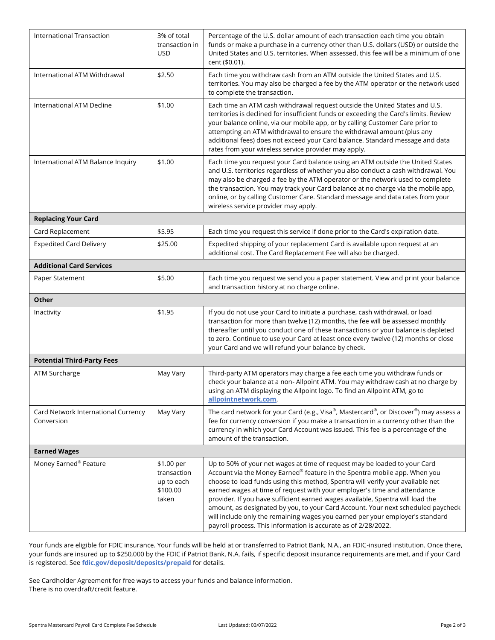| International Transaction                         | 3% of total<br>transaction in<br><b>USD</b>                  | Percentage of the U.S. dollar amount of each transaction each time you obtain<br>funds or make a purchase in a currency other than U.S. dollars (USD) or outside the<br>United States and U.S. territories. When assessed, this fee will be a minimum of one<br>cent (\$0.01).                                                                                                                                                                                                                                                                                                                                                                |  |
|---------------------------------------------------|--------------------------------------------------------------|-----------------------------------------------------------------------------------------------------------------------------------------------------------------------------------------------------------------------------------------------------------------------------------------------------------------------------------------------------------------------------------------------------------------------------------------------------------------------------------------------------------------------------------------------------------------------------------------------------------------------------------------------|--|
| International ATM Withdrawal                      | \$2.50                                                       | Each time you withdraw cash from an ATM outside the United States and U.S.<br>territories. You may also be charged a fee by the ATM operator or the network used<br>to complete the transaction.                                                                                                                                                                                                                                                                                                                                                                                                                                              |  |
| <b>International ATM Decline</b>                  | \$1.00                                                       | Each time an ATM cash withdrawal request outside the United States and U.S.<br>territories is declined for insufficient funds or exceeding the Card's limits. Review<br>your balance online, via our mobile app, or by calling Customer Care prior to<br>attempting an ATM withdrawal to ensure the withdrawal amount (plus any<br>additional fees) does not exceed your Card balance. Standard message and data<br>rates from your wireless service provider may apply.                                                                                                                                                                      |  |
| International ATM Balance Inquiry                 | \$1.00                                                       | Each time you request your Card balance using an ATM outside the United States<br>and U.S. territories regardless of whether you also conduct a cash withdrawal. You<br>may also be charged a fee by the ATM operator or the network used to complete<br>the transaction. You may track your Card balance at no charge via the mobile app,<br>online, or by calling Customer Care. Standard message and data rates from your<br>wireless service provider may apply.                                                                                                                                                                          |  |
| <b>Replacing Your Card</b>                        |                                                              |                                                                                                                                                                                                                                                                                                                                                                                                                                                                                                                                                                                                                                               |  |
| Card Replacement                                  | \$5.95                                                       | Each time you request this service if done prior to the Card's expiration date.                                                                                                                                                                                                                                                                                                                                                                                                                                                                                                                                                               |  |
| <b>Expedited Card Delivery</b>                    | \$25.00                                                      | Expedited shipping of your replacement Card is available upon request at an<br>additional cost. The Card Replacement Fee will also be charged.                                                                                                                                                                                                                                                                                                                                                                                                                                                                                                |  |
| <b>Additional Card Services</b>                   |                                                              |                                                                                                                                                                                                                                                                                                                                                                                                                                                                                                                                                                                                                                               |  |
| Paper Statement                                   | \$5.00                                                       | Each time you request we send you a paper statement. View and print your balance<br>and transaction history at no charge online.                                                                                                                                                                                                                                                                                                                                                                                                                                                                                                              |  |
| Other                                             |                                                              |                                                                                                                                                                                                                                                                                                                                                                                                                                                                                                                                                                                                                                               |  |
| Inactivity                                        | \$1.95                                                       | If you do not use your Card to initiate a purchase, cash withdrawal, or load<br>transaction for more than twelve (12) months, the fee will be assessed monthly<br>thereafter until you conduct one of these transactions or your balance is depleted<br>to zero. Continue to use your Card at least once every twelve (12) months or close<br>your Card and we will refund your balance by check.                                                                                                                                                                                                                                             |  |
| <b>Potential Third-Party Fees</b>                 |                                                              |                                                                                                                                                                                                                                                                                                                                                                                                                                                                                                                                                                                                                                               |  |
| ATM Surcharge                                     | May Vary                                                     | Third-party ATM operators may charge a fee each time you withdraw funds or<br>check your balance at a non- Allpoint ATM. You may withdraw cash at no charge by<br>using an ATM displaying the Allpoint logo. To find an Allpoint ATM, go to<br>allpointnetwork.com.                                                                                                                                                                                                                                                                                                                                                                           |  |
| Card Network International Currency<br>Conversion | May Vary                                                     | The card network for your Card (e.g., Visa®, Mastercard®, or Discover®) may assess a<br>fee for currency conversion if you make a transaction in a currency other than the<br>currency in which your Card Account was issued. This fee is a percentage of the<br>amount of the transaction.                                                                                                                                                                                                                                                                                                                                                   |  |
| <b>Earned Wages</b>                               |                                                              |                                                                                                                                                                                                                                                                                                                                                                                                                                                                                                                                                                                                                                               |  |
| Money Earned <sup>®</sup> Feature                 | \$1.00 per<br>transaction<br>up to each<br>\$100.00<br>taken | Up to 50% of your net wages at time of request may be loaded to your Card<br>Account via the Money Earned® feature in the Spentra mobile app. When you<br>choose to load funds using this method, Spentra will verify your available net<br>earned wages at time of request with your employer's time and attendance<br>provider. If you have sufficient earned wages available, Spentra will load the<br>amount, as designated by you, to your Card Account. Your next scheduled paycheck<br>will include only the remaining wages you earned per your employer's standard<br>payroll process. This information is accurate as of 2/28/2022. |  |

Your funds are eligible for FDIC insurance. Your funds will be held at or transferred to Patriot Bank, N.A., an FDIC-insured institution. Once there, your funds are insured up to \$250,000 by the FDIC if Patriot Bank, N.A. fails, if specific deposit insurance requirements are met, and if your Card is registered. See **[fdic.gov/deposit/deposits/prepaid](https://www.fdic.gov/deposit/deposits/prepaid.html)** for details.

See Cardholder Agreement for free ways to access your funds and balance information. There is no overdraft/credit feature.